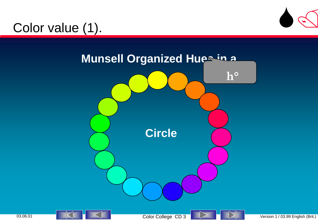

## Color value (1).

<span id="page-0-0"></span>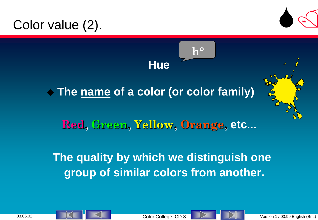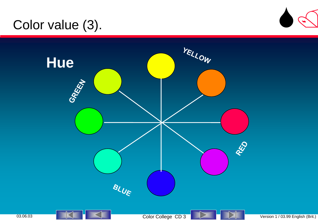## Color value (3).







03.06.03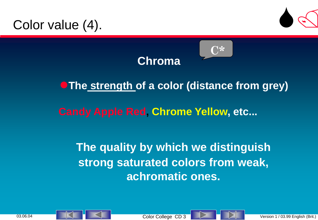





**C\***

#### **The strength of a color (distance from grey)**

#### **Candy Apple Red, Chrome Yellow, etc...**

#### **The quality by which we distinguish strong saturated colors from weak, achromatic ones.**

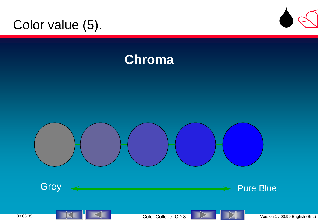## Color value (5).



## **Chroma**

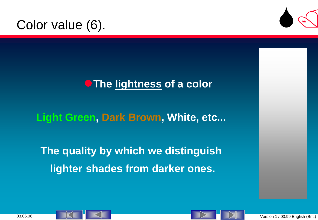#### Color value (6).



#### **The lightness of a color**

**Light Green, Dark Brown, White, etc...**

**The quality by which we distinguish lighter shades from darker ones.**

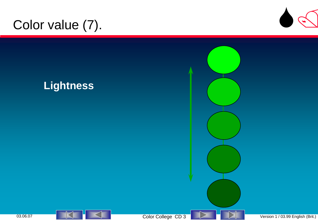# Color value (7).



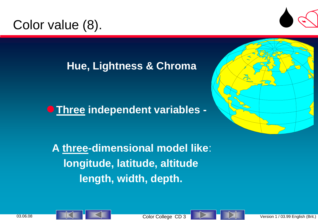## Color value (8).



#### **Hue, Lightness & Chroma**

**Three independent variables -**



 **A three-dimensional model like**: **longitude, latitude, altitude length, width, depth.**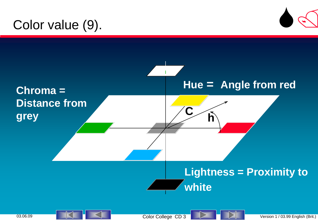## Color value (9).





03.06.09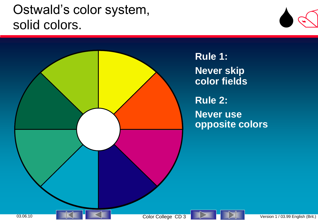## Ostwald's color system, solid colors.



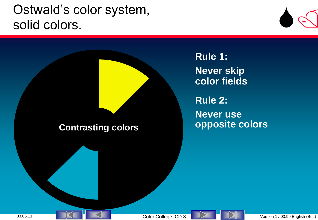Ostwald's color system, solid colors.

**Rule 1: Never skip color fields**

**Rule 2: Never use Contrasting colors opposite colors**

Color College CD 3 Version 1 / 03.99 English (Brit.)

[S/](03 Color College START Eng.ppt)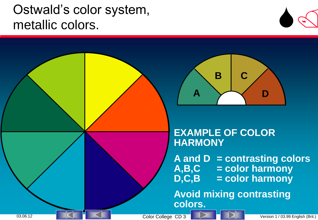

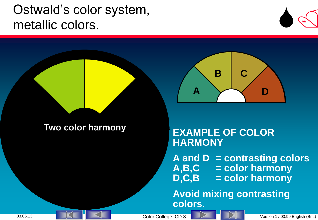



#### **Two color harmony**

#### **EXAMPLE OF COLOR HARMONY**

**A and D = contrasting colors A,B,C = color harmony D,C,B = color harmony**

**Avoid mixing contrasting colors.**

03.06.13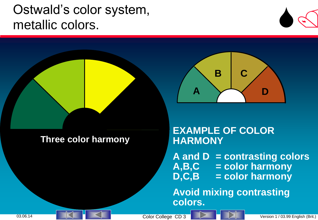



#### **Three color harmony**

#### **EXAMPLE OF COLOR HARMONY**

**A and D = contrasting colors A,B,C = color harmony D,C,B = color harmony**

**D**

**Avoid mixing contrasting colors.**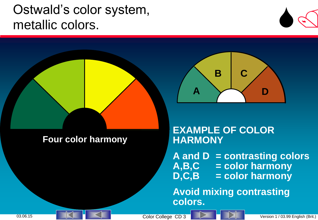

**D**



**Avoid mixing contrasting colors.**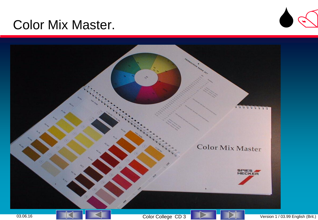#### Color Mix Master.



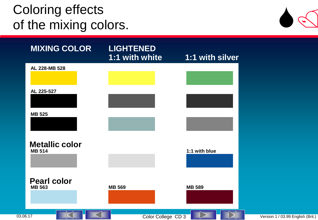## Coloring effects of the mixing colors.



| <b>MIXING COLOR</b>                    | <b>LIGHTENED</b><br>1:1 with white | 1:1 with silver                 |
|----------------------------------------|------------------------------------|---------------------------------|
| AL 228-MB 528                          |                                    |                                 |
| AL 225-527                             |                                    |                                 |
| <b>MB 525</b>                          |                                    |                                 |
| <b>Metallic color</b><br><b>MB 514</b> |                                    | 1:1 with blue                   |
| <b>Pearl color</b><br><b>MB 563</b>    | <b>MB 569</b>                      | <b>MB 589</b>                   |
| $\overline{a}$                         |                                    | $\overline{N}$<br>$\overline{}$ |

03.06.17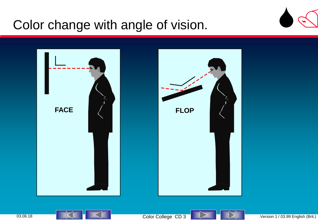## Color change with angle of vision.





03.06.18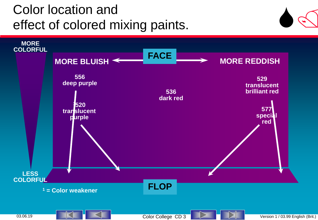# Color location and effect of colored mixing paints.



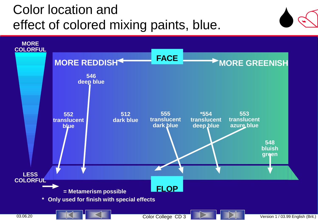# Color location and effect of colored mixing paints, blue.



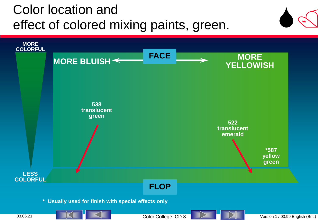# Color location and effect of colored mixing paints, green.



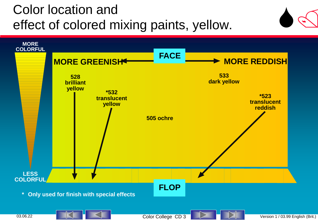# Color location and effect of colored mixing paints, yellow.



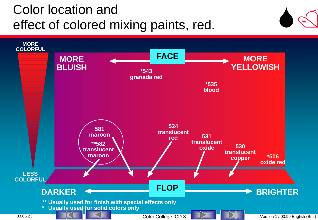# Color location and effect of colored mixing paints, red.



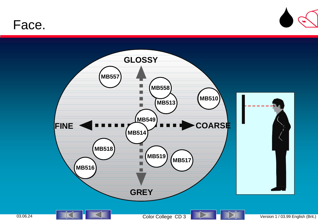#### Face.



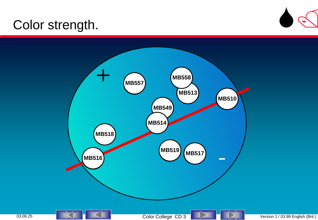## Color strength.



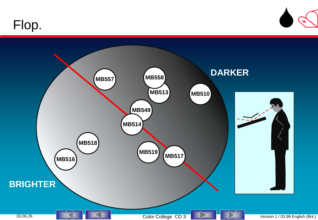## Flop.